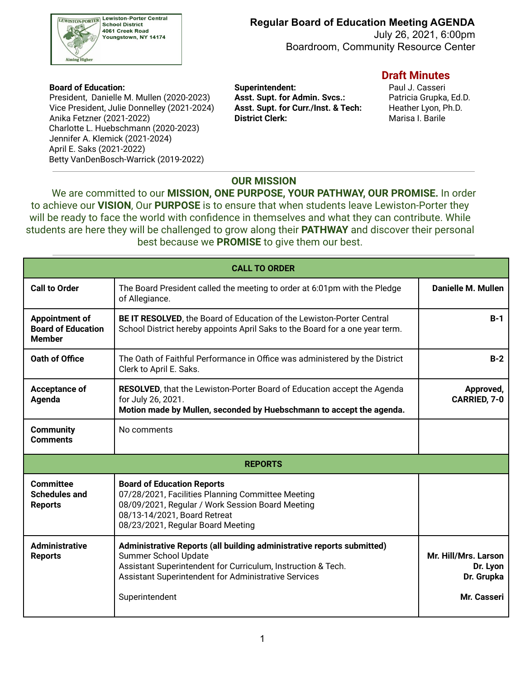

July 26, 2021, 6:00pm Boardroom, Community Resource Center

 President, Danielle M. Mullen (2020-2023) **Asst. Supt. for Admin. Svcs.:** Patricia Grupka, Ed.D. Vice President, Julie Donnelley (2021-2024) **Asst. Supt. for Curr./Inst. & Tech:** Heather Lyon, Ph.D. Anika Fetzner (2021-2022) **District Clerk:** Marisa I. Barile Charlotte L. Huebschmann (2020-2023) Jennifer A. Klemick (2021-2024) April E. Saks (2021-2022) Betty VanDenBosch-Warrick (2019-2022)

 **Board of Education: Superintendent:** Paul J. Casseri

#### **Draft Minutes**

#### **OUR MISSION**

We are committed to our **MISSION, ONE PURPOSE, YOUR PATHWAY, OUR PROMISE.** In order to achieve our **VISION**, Our **PURPOSE** is to ensure that when students leave Lewiston-Porter they will be ready to face the world with confidence in themselves and what they can contribute. While students are here they will be challenged to grow along their **PATHWAY** and discover their personal best because we **PROMISE** to give them our best.

| <b>CALL TO ORDER</b>                                                |                                                                                                                                                                                                                                                 |                                                               |  |  |  |  |  |
|---------------------------------------------------------------------|-------------------------------------------------------------------------------------------------------------------------------------------------------------------------------------------------------------------------------------------------|---------------------------------------------------------------|--|--|--|--|--|
| <b>Call to Order</b>                                                | The Board President called the meeting to order at 6:01pm with the Pledge<br>of Allegiance.                                                                                                                                                     | <b>Danielle M. Mullen</b>                                     |  |  |  |  |  |
| <b>Appointment of</b><br><b>Board of Education</b><br><b>Member</b> | BE IT RESOLVED, the Board of Education of the Lewiston-Porter Central<br>School District hereby appoints April Saks to the Board for a one year term.                                                                                           | $B-1$                                                         |  |  |  |  |  |
| Oath of Office                                                      | The Oath of Faithful Performance in Office was administered by the District<br>Clerk to April E. Saks.                                                                                                                                          | $B-2$                                                         |  |  |  |  |  |
| Acceptance of<br>Agenda                                             | <b>RESOLVED, that the Lewiston-Porter Board of Education accept the Agenda</b><br>for July 26, 2021.<br>Motion made by Mullen, seconded by Huebschmann to accept the agenda.                                                                    | Approved,<br>CARRIED, 7-0                                     |  |  |  |  |  |
| <b>Community</b><br><b>Comments</b>                                 | No comments                                                                                                                                                                                                                                     |                                                               |  |  |  |  |  |
| <b>REPORTS</b>                                                      |                                                                                                                                                                                                                                                 |                                                               |  |  |  |  |  |
| <b>Committee</b><br><b>Schedules and</b><br><b>Reports</b>          | <b>Board of Education Reports</b><br>07/28/2021, Facilities Planning Committee Meeting<br>08/09/2021, Regular / Work Session Board Meeting<br>08/13-14/2021, Board Retreat<br>08/23/2021, Regular Board Meeting                                 |                                                               |  |  |  |  |  |
| <b>Administrative</b><br><b>Reports</b>                             | Administrative Reports (all building administrative reports submitted)<br><b>Summer School Update</b><br>Assistant Superintendent for Curriculum, Instruction & Tech.<br>Assistant Superintendent for Administrative Services<br>Superintendent | Mr. Hill/Mrs. Larson<br>Dr. Lyon<br>Dr. Grupka<br>Mr. Casseri |  |  |  |  |  |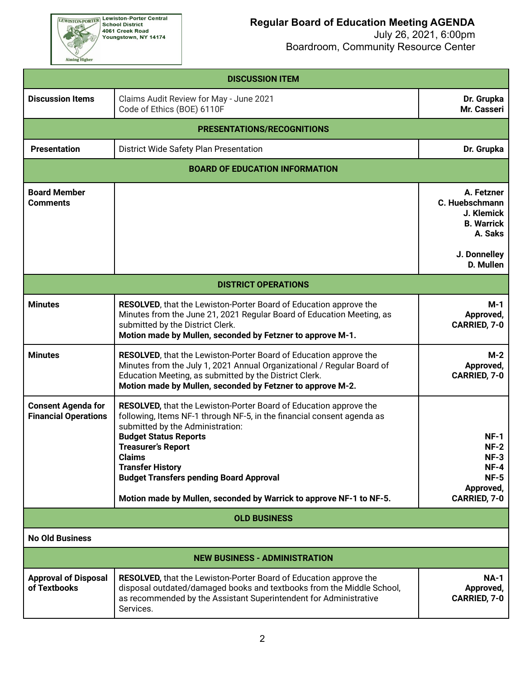EEWISTON-PORTER Lewiston-Porter Central<br>School District<br>4061 Creek Road<br>Youngstown, NY 14174

Aiming Higher

# **Regular Board of Education Meeting AGENDA**

| <b>DISCUSSION ITEM</b>                                   |                                                                                                                                                                                                                                                                                                                                            |                                                                                            |  |  |  |  |  |  |  |
|----------------------------------------------------------|--------------------------------------------------------------------------------------------------------------------------------------------------------------------------------------------------------------------------------------------------------------------------------------------------------------------------------------------|--------------------------------------------------------------------------------------------|--|--|--|--|--|--|--|
| <b>Discussion Items</b>                                  | Claims Audit Review for May - June 2021<br>Code of Ethics (BOE) 6110F                                                                                                                                                                                                                                                                      |                                                                                            |  |  |  |  |  |  |  |
| PRESENTATIONS/RECOGNITIONS                               |                                                                                                                                                                                                                                                                                                                                            |                                                                                            |  |  |  |  |  |  |  |
| <b>Presentation</b>                                      | Dr. Grupka                                                                                                                                                                                                                                                                                                                                 |                                                                                            |  |  |  |  |  |  |  |
|                                                          | <b>BOARD OF EDUCATION INFORMATION</b>                                                                                                                                                                                                                                                                                                      |                                                                                            |  |  |  |  |  |  |  |
| <b>Board Member</b><br><b>Comments</b>                   |                                                                                                                                                                                                                                                                                                                                            | A. Fetzner<br>C. Huebschmann<br>J. Klemick<br><b>B. Warrick</b><br>A. Saks<br>J. Donnelley |  |  |  |  |  |  |  |
|                                                          |                                                                                                                                                                                                                                                                                                                                            | D. Mullen                                                                                  |  |  |  |  |  |  |  |
|                                                          | <b>DISTRICT OPERATIONS</b>                                                                                                                                                                                                                                                                                                                 |                                                                                            |  |  |  |  |  |  |  |
| <b>Minutes</b>                                           | RESOLVED, that the Lewiston-Porter Board of Education approve the<br>Minutes from the June 21, 2021 Regular Board of Education Meeting, as<br>submitted by the District Clerk.<br>Motion made by Mullen, seconded by Fetzner to approve M-1.                                                                                               | $M-1$<br>Approved,<br>CARRIED, 7-0                                                         |  |  |  |  |  |  |  |
| <b>Minutes</b>                                           | RESOLVED, that the Lewiston-Porter Board of Education approve the<br>Minutes from the July 1, 2021 Annual Organizational / Regular Board of<br>Education Meeting, as submitted by the District Clerk.<br>Motion made by Mullen, seconded by Fetzner to approve M-2.                                                                        | $M-2$<br>Approved,<br>CARRIED, 7-0                                                         |  |  |  |  |  |  |  |
| <b>Consent Agenda for</b><br><b>Financial Operations</b> | RESOLVED, that the Lewiston-Porter Board of Education approve the<br>following, Items NF-1 through NF-5, in the financial consent agenda as<br>submitted by the Administration:<br><b>Budget Status Reports</b><br><b>Treasurer's Report</b><br><b>Claims</b><br><b>Transfer History</b><br><b>Budget Transfers pending Board Approval</b> | $NF-1$<br>$NF-2$<br>$NF-3$<br>$NF-4$<br>$NF-5$<br>Approved,                                |  |  |  |  |  |  |  |
|                                                          | Motion made by Mullen, seconded by Warrick to approve NF-1 to NF-5.                                                                                                                                                                                                                                                                        | CARRIED, 7-0                                                                               |  |  |  |  |  |  |  |
| <b>OLD BUSINESS</b>                                      |                                                                                                                                                                                                                                                                                                                                            |                                                                                            |  |  |  |  |  |  |  |
| <b>No Old Business</b>                                   |                                                                                                                                                                                                                                                                                                                                            |                                                                                            |  |  |  |  |  |  |  |
|                                                          | <b>NEW BUSINESS - ADMINISTRATION</b>                                                                                                                                                                                                                                                                                                       |                                                                                            |  |  |  |  |  |  |  |
| <b>Approval of Disposal</b><br>of Textbooks              | <b>RESOLVED, that the Lewiston-Porter Board of Education approve the</b><br>disposal outdated/damaged books and textbooks from the Middle School,<br>as recommended by the Assistant Superintendent for Administrative<br>Services.                                                                                                        | <b>NA-1</b><br>Approved,<br><b>CARRIED, 7-0</b>                                            |  |  |  |  |  |  |  |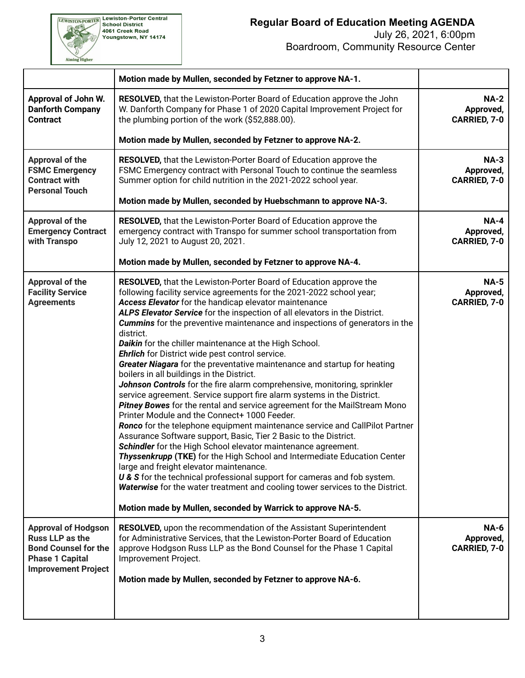

|                                                                                                                                      | Motion made by Mullen, seconded by Fetzner to approve NA-1.                                                                                                                                                                                                                                                                                                                                                                                                                                                                                                                                                                                                                                                                                                                                                                                                                                                                                                                                                                                                                                                                                                                                                                                                                                                                                                                                                                                                                                |                                                 |  |  |
|--------------------------------------------------------------------------------------------------------------------------------------|--------------------------------------------------------------------------------------------------------------------------------------------------------------------------------------------------------------------------------------------------------------------------------------------------------------------------------------------------------------------------------------------------------------------------------------------------------------------------------------------------------------------------------------------------------------------------------------------------------------------------------------------------------------------------------------------------------------------------------------------------------------------------------------------------------------------------------------------------------------------------------------------------------------------------------------------------------------------------------------------------------------------------------------------------------------------------------------------------------------------------------------------------------------------------------------------------------------------------------------------------------------------------------------------------------------------------------------------------------------------------------------------------------------------------------------------------------------------------------------------|-------------------------------------------------|--|--|
| Approval of John W.<br><b>Danforth Company</b><br><b>Contract</b>                                                                    | RESOLVED, that the Lewiston-Porter Board of Education approve the John<br>W. Danforth Company for Phase 1 of 2020 Capital Improvement Project for<br>the plumbing portion of the work (\$52,888.00).                                                                                                                                                                                                                                                                                                                                                                                                                                                                                                                                                                                                                                                                                                                                                                                                                                                                                                                                                                                                                                                                                                                                                                                                                                                                                       | <b>NA-2</b><br>Approved,<br>CARRIED, 7-0        |  |  |
|                                                                                                                                      | Motion made by Mullen, seconded by Fetzner to approve NA-2.                                                                                                                                                                                                                                                                                                                                                                                                                                                                                                                                                                                                                                                                                                                                                                                                                                                                                                                                                                                                                                                                                                                                                                                                                                                                                                                                                                                                                                |                                                 |  |  |
| Approval of the<br><b>FSMC Emergency</b><br><b>Contract with</b><br><b>Personal Touch</b>                                            | RESOLVED, that the Lewiston-Porter Board of Education approve the<br>FSMC Emergency contract with Personal Touch to continue the seamless<br>Summer option for child nutrition in the 2021-2022 school year.                                                                                                                                                                                                                                                                                                                                                                                                                                                                                                                                                                                                                                                                                                                                                                                                                                                                                                                                                                                                                                                                                                                                                                                                                                                                               | <b>NA-3</b><br>Approved,<br>CARRIED, 7-0        |  |  |
|                                                                                                                                      | Motion made by Mullen, seconded by Huebschmann to approve NA-3.                                                                                                                                                                                                                                                                                                                                                                                                                                                                                                                                                                                                                                                                                                                                                                                                                                                                                                                                                                                                                                                                                                                                                                                                                                                                                                                                                                                                                            |                                                 |  |  |
| Approval of the<br><b>Emergency Contract</b><br>with Transpo                                                                         | RESOLVED, that the Lewiston-Porter Board of Education approve the<br>emergency contract with Transpo for summer school transportation from<br>July 12, 2021 to August 20, 2021.                                                                                                                                                                                                                                                                                                                                                                                                                                                                                                                                                                                                                                                                                                                                                                                                                                                                                                                                                                                                                                                                                                                                                                                                                                                                                                            | <b>NA-4</b><br>Approved,<br><b>CARRIED, 7-0</b> |  |  |
|                                                                                                                                      | Motion made by Mullen, seconded by Fetzner to approve NA-4.                                                                                                                                                                                                                                                                                                                                                                                                                                                                                                                                                                                                                                                                                                                                                                                                                                                                                                                                                                                                                                                                                                                                                                                                                                                                                                                                                                                                                                |                                                 |  |  |
| <b>Approval of the</b><br><b>Facility Service</b><br><b>Agreements</b>                                                               | RESOLVED, that the Lewiston-Porter Board of Education approve the<br>following facility service agreements for the 2021-2022 school year;<br>Access Elevator for the handicap elevator maintenance<br>ALPS Elevator Service for the inspection of all elevators in the District.<br><b>Cummins</b> for the preventive maintenance and inspections of generators in the<br>district.<br>Daikin for the chiller maintenance at the High School.<br>Ehrlich for District wide pest control service.<br>Greater Niagara for the preventative maintenance and startup for heating<br>boilers in all buildings in the District.<br>Johnson Controls for the fire alarm comprehensive, monitoring, sprinkler<br>service agreement. Service support fire alarm systems in the District.<br>Pitney Bowes for the rental and service agreement for the MailStream Mono<br>Printer Module and the Connect+ 1000 Feeder.<br>Ronco for the telephone equipment maintenance service and CallPilot Partner<br>Assurance Software support, Basic, Tier 2 Basic to the District.<br>Schindler for the High School elevator maintenance agreement.<br><b>Thyssenkrupp (TKE)</b> for the High School and Intermediate Education Center<br>large and freight elevator maintenance.<br>U & S for the technical professional support for cameras and fob system.<br>Waterwise for the water treatment and cooling tower services to the District.<br>Motion made by Mullen, seconded by Warrick to approve NA-5. | <b>NA-5</b><br>Approved,<br>CARRIED, 7-0        |  |  |
| <b>Approval of Hodgson</b><br>Russ LLP as the<br><b>Bond Counsel for the</b><br><b>Phase 1 Capital</b><br><b>Improvement Project</b> | <b>RESOLVED, upon the recommendation of the Assistant Superintendent</b><br>for Administrative Services, that the Lewiston-Porter Board of Education<br>approve Hodgson Russ LLP as the Bond Counsel for the Phase 1 Capital<br>Improvement Project.<br>Motion made by Mullen, seconded by Fetzner to approve NA-6.                                                                                                                                                                                                                                                                                                                                                                                                                                                                                                                                                                                                                                                                                                                                                                                                                                                                                                                                                                                                                                                                                                                                                                        | <b>NA-6</b><br>Approved,<br><b>CARRIED, 7-0</b> |  |  |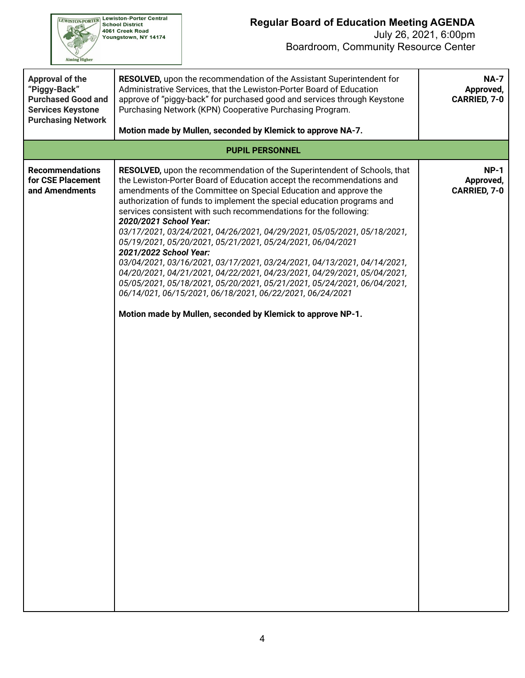

| <b>Approval of the</b><br>"Piggy-Back"<br><b>Purchased Good and</b><br><b>Services Keystone</b><br><b>Purchasing Network</b> | <b>RESOLVED, upon the recommendation of the Assistant Superintendent for</b><br>Administrative Services, that the Lewiston-Porter Board of Education<br>approve of "piggy-back" for purchased good and services through Keystone<br>Purchasing Network (KPN) Cooperative Purchasing Program.                                                                                                                                                                                                                                                                                                                                                                                                                                                                                                                                                                                                                                         | <b>NA-7</b><br>Approved,<br><b>CARRIED, 7-0</b> |
|------------------------------------------------------------------------------------------------------------------------------|--------------------------------------------------------------------------------------------------------------------------------------------------------------------------------------------------------------------------------------------------------------------------------------------------------------------------------------------------------------------------------------------------------------------------------------------------------------------------------------------------------------------------------------------------------------------------------------------------------------------------------------------------------------------------------------------------------------------------------------------------------------------------------------------------------------------------------------------------------------------------------------------------------------------------------------|-------------------------------------------------|
|                                                                                                                              | Motion made by Mullen, seconded by Klemick to approve NA-7.                                                                                                                                                                                                                                                                                                                                                                                                                                                                                                                                                                                                                                                                                                                                                                                                                                                                          |                                                 |
|                                                                                                                              | <b>PUPIL PERSONNEL</b>                                                                                                                                                                                                                                                                                                                                                                                                                                                                                                                                                                                                                                                                                                                                                                                                                                                                                                               |                                                 |
| <b>Recommendations</b><br>for CSE Placement<br>and Amendments                                                                | <b>RESOLVED,</b> upon the recommendation of the Superintendent of Schools, that<br>the Lewiston-Porter Board of Education accept the recommendations and<br>amendments of the Committee on Special Education and approve the<br>authorization of funds to implement the special education programs and<br>services consistent with such recommendations for the following:<br>2020/2021 School Year:<br>03/17/2021, 03/24/2021, 04/26/2021, 04/29/2021, 05/05/2021, 05/18/2021,<br>05/19/2021, 05/20/2021, 05/21/2021, 05/24/2021, 06/04/2021<br>2021/2022 School Year:<br>03/04/2021, 03/16/2021, 03/17/2021, 03/24/2021, 04/13/2021, 04/14/2021,<br>04/20/2021, 04/21/2021, 04/22/2021, 04/23/2021, 04/29/2021, 05/04/2021,<br>05/05/2021, 05/18/2021, 05/20/2021, 05/21/2021, 05/24/2021, 06/04/2021,<br>06/14/021, 06/15/2021, 06/18/2021, 06/22/2021, 06/24/2021<br>Motion made by Mullen, seconded by Klemick to approve NP-1. | $NP-1$<br>Approved,<br><b>CARRIED, 7-0</b>      |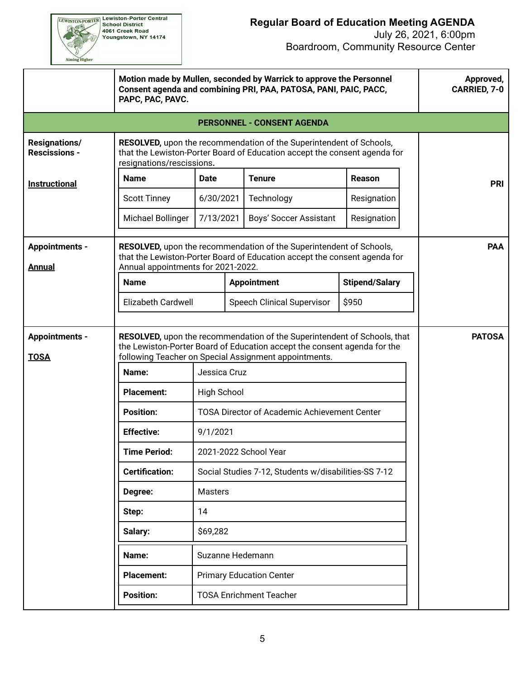

|                                              | Motion made by Mullen, seconded by Warrick to approve the Personnel<br>Consent agenda and combining PRI, PAA, PATOSA, PANI, PAIC, PACC,<br>PAPC, PAC, PAVC.                                                   | Approved,<br><b>CARRIED, 7-0</b>                    |  |                                   |                       |            |  |  |  |
|----------------------------------------------|---------------------------------------------------------------------------------------------------------------------------------------------------------------------------------------------------------------|-----------------------------------------------------|--|-----------------------------------|-----------------------|------------|--|--|--|
|                                              |                                                                                                                                                                                                               |                                                     |  | <b>PERSONNEL - CONSENT AGENDA</b> |                       |            |  |  |  |
| <b>Resignations/</b><br><b>Rescissions -</b> | RESOLVED, upon the recommendation of the Superintendent of Schools,<br>that the Lewiston-Porter Board of Education accept the consent agenda for<br>resignations/rescissions.                                 |                                                     |  |                                   |                       |            |  |  |  |
| <b>Instructional</b>                         | <b>Name</b>                                                                                                                                                                                                   | Date                                                |  | <b>Tenure</b>                     | <b>Reason</b>         | <b>PRI</b> |  |  |  |
|                                              | <b>Scott Tinney</b>                                                                                                                                                                                           | 6/30/2021                                           |  | Technology                        | Resignation           |            |  |  |  |
|                                              | Michael Bollinger                                                                                                                                                                                             | 7/13/2021                                           |  | Boys' Soccer Assistant            | Resignation           |            |  |  |  |
| <b>Appointments -</b><br><b>Annual</b>       | RESOLVED, upon the recommendation of the Superintendent of Schools,<br>that the Lewiston-Porter Board of Education accept the consent agenda for<br>Annual appointments for 2021-2022.                        | <b>PAA</b>                                          |  |                                   |                       |            |  |  |  |
|                                              | <b>Name</b>                                                                                                                                                                                                   |                                                     |  | <b>Appointment</b>                | <b>Stipend/Salary</b> |            |  |  |  |
|                                              | Elizabeth Cardwell                                                                                                                                                                                            |                                                     |  | <b>Speech Clinical Supervisor</b> | \$950                 |            |  |  |  |
| <b>Appointments -</b><br><b>TOSA</b>         | RESOLVED, upon the recommendation of the Superintendent of Schools, that<br>the Lewiston-Porter Board of Education accept the consent agenda for the<br>following Teacher on Special Assignment appointments. | <b>PATOSA</b>                                       |  |                                   |                       |            |  |  |  |
|                                              | Name:                                                                                                                                                                                                         | Jessica Cruz                                        |  |                                   |                       |            |  |  |  |
|                                              | <b>Placement:</b>                                                                                                                                                                                             | <b>High School</b>                                  |  |                                   |                       |            |  |  |  |
|                                              | <b>Position:</b>                                                                                                                                                                                              | <b>TOSA Director of Academic Achievement Center</b> |  |                                   |                       |            |  |  |  |
|                                              | <b>Effective:</b>                                                                                                                                                                                             | 9/1/2021                                            |  |                                   |                       |            |  |  |  |
|                                              | <b>Time Period:</b>                                                                                                                                                                                           |                                                     |  | 2021-2022 School Year             |                       |            |  |  |  |
|                                              | <b>Certification:</b><br>Social Studies 7-12, Students w/disabilities-SS 7-12                                                                                                                                 |                                                     |  |                                   |                       |            |  |  |  |
|                                              | <b>Masters</b><br>Degree:<br>14                                                                                                                                                                               |                                                     |  |                                   |                       |            |  |  |  |
|                                              | Step:<br>Salary:                                                                                                                                                                                              |                                                     |  |                                   |                       |            |  |  |  |
|                                              |                                                                                                                                                                                                               |                                                     |  |                                   |                       |            |  |  |  |
|                                              |                                                                                                                                                                                                               |                                                     |  |                                   |                       |            |  |  |  |
|                                              | <b>Placement:</b>                                                                                                                                                                                             |                                                     |  | <b>Primary Education Center</b>   |                       |            |  |  |  |
|                                              |                                                                                                                                                                                                               |                                                     |  |                                   |                       |            |  |  |  |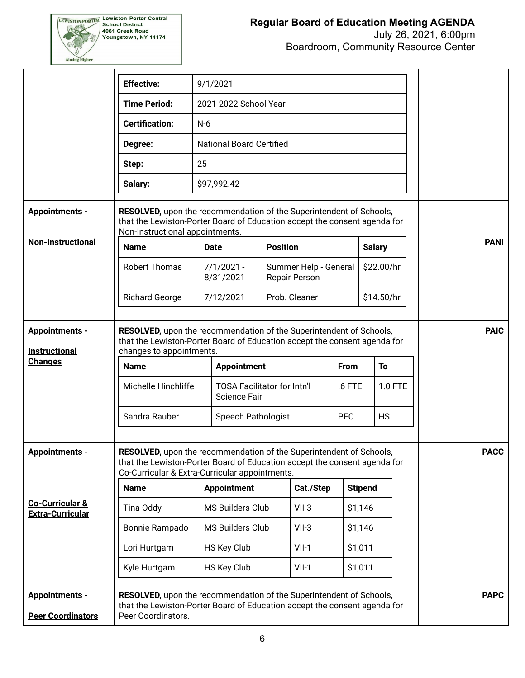

Boardroom, Community Resource Center

|                                                       | <b>Effective:</b>                                                                                                                                                                                  | 9/1/2021                                                                  |                                               |                                        |             |                |  |             |  |  |
|-------------------------------------------------------|----------------------------------------------------------------------------------------------------------------------------------------------------------------------------------------------------|---------------------------------------------------------------------------|-----------------------------------------------|----------------------------------------|-------------|----------------|--|-------------|--|--|
|                                                       | <b>Time Period:</b>                                                                                                                                                                                | 2021-2022 School Year                                                     |                                               |                                        |             |                |  |             |  |  |
|                                                       | <b>Certification:</b>                                                                                                                                                                              | $N-6$                                                                     |                                               |                                        |             |                |  |             |  |  |
|                                                       | Degree:                                                                                                                                                                                            |                                                                           | <b>National Board Certified</b>               |                                        |             |                |  |             |  |  |
|                                                       | Step:                                                                                                                                                                                              | 25                                                                        |                                               |                                        |             |                |  |             |  |  |
|                                                       | Salary:                                                                                                                                                                                            | \$97,992.42                                                               |                                               |                                        |             |                |  |             |  |  |
| <b>Appointments -</b>                                 | RESOLVED, upon the recommendation of the Superintendent of Schools,<br>that the Lewiston-Porter Board of Education accept the consent agenda for<br>Non-Instructional appointments.                |                                                                           |                                               |                                        |             |                |  |             |  |  |
| <b>Non-Instructional</b>                              | <b>Name</b>                                                                                                                                                                                        | <b>Date</b>                                                               | <b>Position</b>                               |                                        |             | <b>Salary</b>  |  | <b>PANI</b> |  |  |
|                                                       | <b>Robert Thomas</b>                                                                                                                                                                               | $7/1/2021 -$<br>8/31/2021                                                 |                                               | Summer Help - General<br>Repair Person |             | \$22.00/hr     |  |             |  |  |
|                                                       | <b>Richard George</b>                                                                                                                                                                              | 7/12/2021                                                                 |                                               | \$14.50/hr                             |             |                |  |             |  |  |
| <b>Appointments -</b><br><b>Instructional</b>         | RESOLVED, upon the recommendation of the Superintendent of Schools,<br>that the Lewiston-Porter Board of Education accept the consent agenda for<br>changes to appointments.                       |                                                                           |                                               |                                        |             |                |  | <b>PAIC</b> |  |  |
| <b>Changes</b>                                        | Name                                                                                                                                                                                               | <b>Appointment</b>                                                        |                                               |                                        | <b>From</b> | To             |  |             |  |  |
|                                                       | Michelle Hinchliffe                                                                                                                                                                                | <b>TOSA Facilitator for Intn'l</b><br>$.6$ FTE<br>1.0 FTE<br>Science Fair |                                               |                                        |             |                |  |             |  |  |
|                                                       | Sandra Rauber                                                                                                                                                                                      |                                                                           | Speech Pathologist<br><b>PEC</b><br><b>HS</b> |                                        |             |                |  |             |  |  |
| <b>Appointments -</b>                                 | RESOLVED, upon the recommendation of the Superintendent of Schools,<br>that the Lewiston-Porter Board of Education accept the consent agenda for<br>Co-Curricular & Extra-Curricular appointments. | <b>PACC</b>                                                               |                                               |                                        |             |                |  |             |  |  |
|                                                       | <b>Name</b>                                                                                                                                                                                        | <b>Appointment</b>                                                        |                                               | Cat./Step                              |             | <b>Stipend</b> |  |             |  |  |
| <b>Co-Curricular &amp;</b><br><b>Extra-Curricular</b> | Tina Oddy                                                                                                                                                                                          | <b>MS Builders Club</b>                                                   |                                               | $VII-3$                                |             | \$1,146        |  |             |  |  |
|                                                       | Bonnie Rampado                                                                                                                                                                                     | MS Builders Club                                                          |                                               | $VII-3$                                |             | \$1,146        |  |             |  |  |
|                                                       | Lori Hurtgam                                                                                                                                                                                       | HS Key Club                                                               |                                               | $VII-1$                                |             | \$1,011        |  |             |  |  |
|                                                       | Kyle Hurtgam                                                                                                                                                                                       | HS Key Club                                                               |                                               | $VII-1$                                |             | \$1,011        |  |             |  |  |
| <b>Appointments -</b>                                 | RESOLVED, upon the recommendation of the Superintendent of Schools,<br>that the Lewiston-Porter Board of Education accept the consent agenda for                                                   |                                                                           |                                               |                                        |             |                |  | <b>PAPC</b> |  |  |
| <b>Peer Coordinators</b>                              | Peer Coordinators.                                                                                                                                                                                 |                                                                           |                                               |                                        |             |                |  |             |  |  |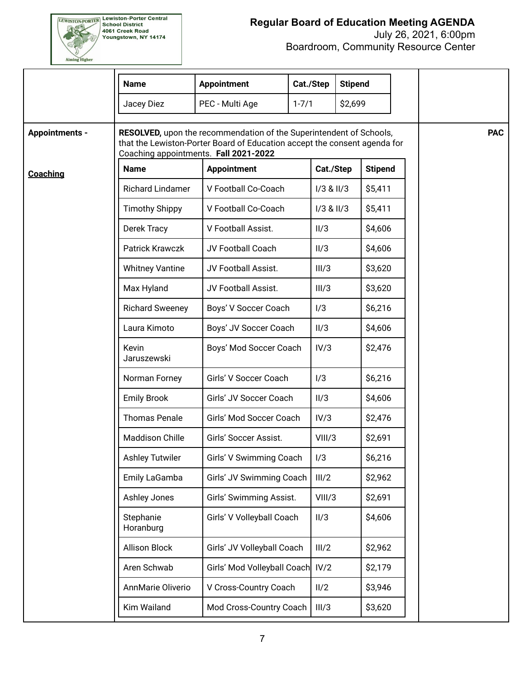

|                       | <b>Name</b>             | <b>Appointment</b>                                                                                                                                                                        | Cat./Step                                | <b>Stipend</b> |                |  |            |
|-----------------------|-------------------------|-------------------------------------------------------------------------------------------------------------------------------------------------------------------------------------------|------------------------------------------|----------------|----------------|--|------------|
|                       | Jacey Diez              | PEC - Multi Age<br>$1 - 7/1$                                                                                                                                                              |                                          | \$2,699        |                |  |            |
| <b>Appointments -</b> |                         | RESOLVED, upon the recommendation of the Superintendent of Schools,<br>that the Lewiston-Porter Board of Education accept the consent agenda for<br>Coaching appointments. Fall 2021-2022 |                                          |                |                |  | <b>PAC</b> |
| Coaching              | <b>Name</b>             | <b>Appointment</b>                                                                                                                                                                        |                                          | Cat./Step      | <b>Stipend</b> |  |            |
|                       | <b>Richard Lindamer</b> | V Football Co-Coach                                                                                                                                                                       |                                          | $1/3$ & $11/3$ | \$5,411        |  |            |
|                       | <b>Timothy Shippy</b>   | V Football Co-Coach                                                                                                                                                                       |                                          | $1/3$ & $11/3$ | \$5,411        |  |            |
|                       | Derek Tracy             | V Football Assist.                                                                                                                                                                        | II/3                                     |                | \$4,606        |  |            |
|                       | <b>Patrick Krawczk</b>  | JV Football Coach                                                                                                                                                                         | II/3                                     |                | \$4,606        |  |            |
|                       | <b>Whitney Vantine</b>  | JV Football Assist.                                                                                                                                                                       |                                          | III/3          | \$3,620        |  |            |
|                       | Max Hyland              | JV Football Assist.                                                                                                                                                                       |                                          | III/3          | \$3,620        |  |            |
|                       | <b>Richard Sweeney</b>  | Boys' V Soccer Coach                                                                                                                                                                      | 1/3                                      |                | \$6,216        |  |            |
|                       | Laura Kimoto            |                                                                                                                                                                                           | \$4,606<br>Boys' JV Soccer Coach<br>II/3 |                |                |  |            |
|                       | Kevin<br>Jaruszewski    | Boys' Mod Soccer Coach                                                                                                                                                                    |                                          | IV/3           | \$2,476        |  |            |
|                       | Norman Forney           | Girls' V Soccer Coach                                                                                                                                                                     | 1/3                                      |                | \$6,216        |  |            |
|                       | <b>Emily Brook</b>      | Girls' JV Soccer Coach                                                                                                                                                                    | II/3                                     |                | \$4,606        |  |            |
|                       | <b>Thomas Penale</b>    | Girls' Mod Soccer Coach                                                                                                                                                                   |                                          | IV/3           | \$2,476        |  |            |
|                       | <b>Maddison Chille</b>  | Girls' Soccer Assist.                                                                                                                                                                     |                                          | VIII/3         | \$2,691        |  |            |
|                       | <b>Ashley Tutwiler</b>  | Girls' V Swimming Coach                                                                                                                                                                   | 1/3                                      |                | \$6,216        |  |            |
|                       | Emily LaGamba           | Girls' JV Swimming Coach                                                                                                                                                                  |                                          | III/2          | \$2,962        |  |            |
|                       | Ashley Jones            | Girls' Swimming Assist.                                                                                                                                                                   |                                          | VIII/3         | \$2,691        |  |            |
|                       | Stephanie<br>Horanburg  | Girls' V Volleyball Coach                                                                                                                                                                 | II/3                                     |                | \$4,606        |  |            |
|                       | <b>Allison Block</b>    | Girls' JV Volleyball Coach                                                                                                                                                                |                                          | III/2          | \$2,962        |  |            |
|                       | Aren Schwab             | Girls' Mod Volleyball Coach                                                                                                                                                               |                                          | IV/2           | \$2,179        |  |            |
|                       | AnnMarie Oliverio       | V Cross-Country Coach                                                                                                                                                                     | II/2                                     |                | \$3,946        |  |            |
|                       | Kim Wailand             | Mod Cross-Country Coach                                                                                                                                                                   |                                          | III/3          | \$3,620        |  |            |
|                       |                         |                                                                                                                                                                                           |                                          |                |                |  |            |